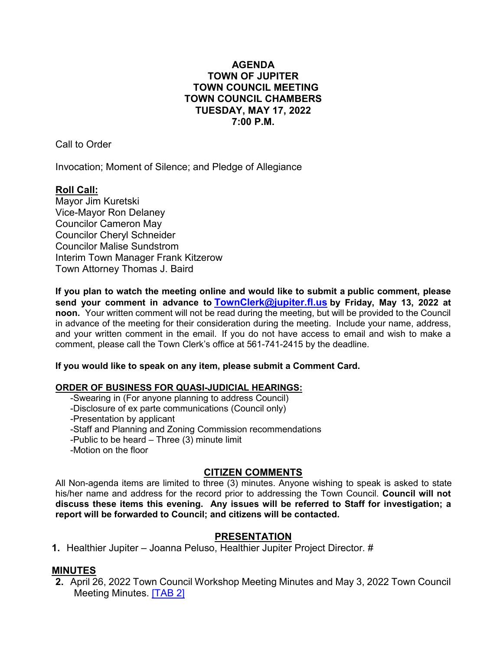# **AGENDA TOWN OF JUPITER TOWN COUNCIL MEETING TOWN COUNCIL CHAMBERS TUESDAY, MAY 17, 2022 7:00 P.M.**

Call to Order

Invocation; Moment of Silence; and Pledge of Allegiance

# **Roll Call:**

Mayor Jim Kuretski Vice-Mayor Ron Delaney Councilor Cameron May Councilor Cheryl Schneider Councilor Malise Sundstrom Interim Town Manager Frank Kitzerow Town Attorney Thomas J. Baird

**If you plan to watch the meeting online and would like to submit a public comment, please send your comment in advance to [TownClerk@jupiter.fl.us](mailto:TownClerk@jupiter.fl.us) by Friday, May 13, 2022 at noon.** Your written comment will not be read during the meeting, but will be provided to the Council in advance of the meeting for their consideration during the meeting. Include your name, address, and your written comment in the email. If you do not have access to email and wish to make a comment, please call the Town Clerk's office at 561-741-2415 by the deadline.

# **If you would like to speak on any item, please submit a Comment Card.**

# **ORDER OF BUSINESS FOR QUASI-JUDICIAL HEARINGS:**

-Swearing in (For anyone planning to address Council)

-Disclosure of ex parte communications (Council only)

-Presentation by applicant

- -Staff and Planning and Zoning Commission recommendations
- -Public to be heard Three  $(3)$  minute limit
- -Motion on the floor

# **CITIZEN COMMENTS**

All Non-agenda items are limited to three (3) minutes. Anyone wishing to speak is asked to state his/her name and address for the record prior to addressing the Town Council. **Council will not discuss these items this evening. Any issues will be referred to Staff for investigation; a report will be forwarded to Council; and citizens will be contacted.**

# **PRESENTATION**

**1.** Healthier Jupiter – Joanna [Peluso,](http://www.jupiter.fl.us/documentcenter/view/30010) Healthier Jupiter Project Director. #

# **MINUTES**

**2.** April 26, 2022 Town Council Workshop Meeting Minutes and May 3, 2022 Town Council Meeting Minutes. [\[TAB 2\]](http://www.jupiter.fl.us/documentcenter/view/30010)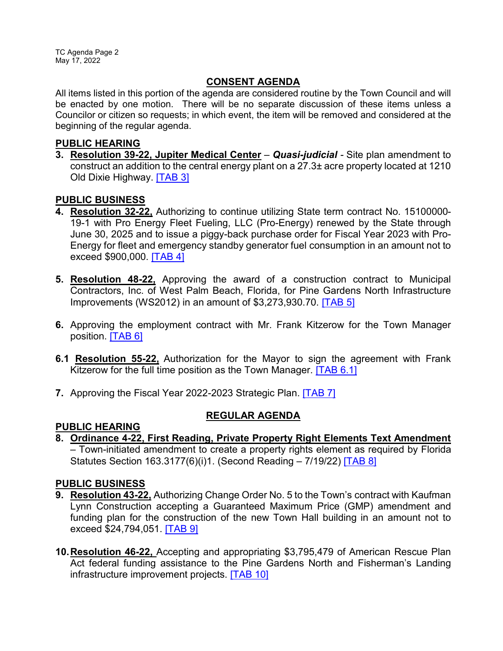TC Agenda Page 2 May 17, 2022

# **CONSENT AGENDA**

All items listed in this portion of the agenda are considered routine by the Town Council and will be enacted by one motion. There will be no separate discussion of these items unless a Councilor or citizen so requests; in which event, the item will be removed and considered at the beginning of the regular agenda.

### **PUBLIC HEARING**

**3. Resolution 39-22, Jupiter Medical Center** – *Quasi-judicial -* Site plan amendment to construct an addition to the central energy plant on a 27.3± acre property located at 1210 Old Dixie Highway. [\[TAB 3\]](http://www.jupiter.fl.us/documentcenter/view/30011)

# **PUBLIC BUSINESS**

- **4. Resolution 32-22,** Authorizing to continue utilizing State term contract No. 15100000- 19-1 with Pro Energy Fleet Fueling, LLC (Pro-Energy) renewed by the State through June 30, 2025 and to issue a piggy-back purchase order for Fiscal Year 2023 with Pro-Energy for fleet and emergency standby generator fuel consumption in an amount not to exceed \$900,000. [\[TAB 4\]](http://www.jupiter.fl.us/documentcenter/view/30012)
- **5. Resolution 48-22,** Approving the award of a construction contract to Municipal Contractors, Inc. of West Palm Beach, Florida, for Pine Gardens North Infrastructure Improvements (WS2012) in an amount of \$3,273,930.70. [\[TAB 5\]](http://www.jupiter.fl.us/documentcenter/view/30013)
- **6.** Approving the employment contract with Mr. Frank Kitzerow for the Town Manager position. [\[TAB 6\]](http://www.jupiter.fl.us/documentcenter/view/30045)
- **6.1 Resolution 55-22,** Authorization for the Mayor to sign the agreement with Frank Kitzerow for the full time position as the Town Manager. **[\[TAB 6.1\]](http://www.jupiter.fl.us/documentcenter/view/30045)**
- **7.** Approving the Fiscal Year 2022-2023 Strategic Plan. **[\[TAB 7\]](http://www.jupiter.fl.us/documentcenter/view/30014)**

# **REGULAR AGENDA**

**PUBLIC HEARING 8. Ordinance 4-22, First Reading, Private Property Right Elements Text Amendment**  – Town-initiated amendment to create a property rights element as required by Florida Statutes Section 163.3177(6)(i)1. (Second Reading – 7/19/22) [\[TAB 8\]](http://www.jupiter.fl.us/documentcenter/view/30015)

# **PUBLIC BUSINESS**

- **9. Resolution 43-22,** Authorizing Change Order No. 5 to the Town's contract with Kaufman Lynn Construction accepting a Guaranteed Maximum Price (GMP) amendment and funding plan for the construction of the new Town Hall building in an amount not to exceed \$24,794,051. [\[TAB 9\]](http://www.jupiter.fl.us/documentcenter/view/30016)
- **10.Resolution 46-22,** Accepting and appropriating \$3,795,479 of American Rescue Plan Act federal funding assistance to the Pine Gardens North and Fisherman's Landing infrastructure improvement projects. [\[TAB 10\]](http://www.jupiter.fl.us/documentcenter/view/30017)